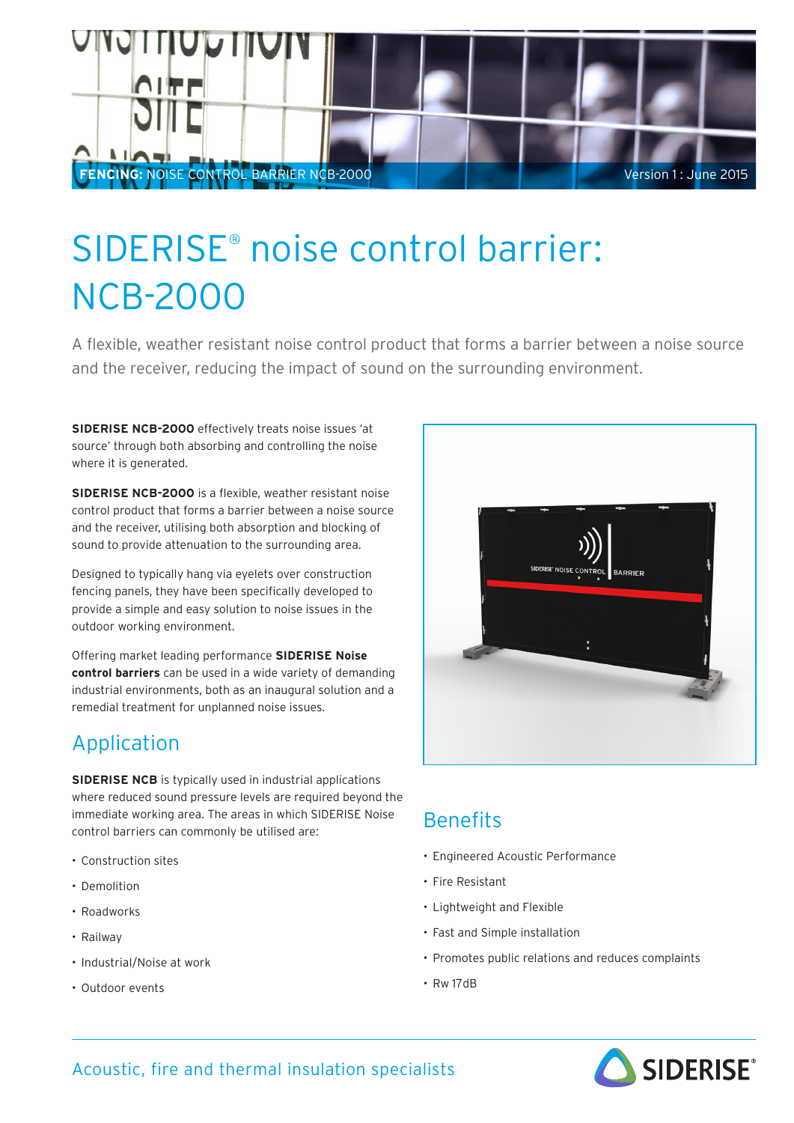

# SIDERISE® noise control barrier: NCB-2000

A flexible, weather resistant noise control product that forms a barrier between a noise source and the receiver, reducing the impact of sound on the surrounding environment.

**SIDERISE NCB-2000** effectively treats noise issues 'at source' through both absorbing and controlling the noise where it is generated.

**SIDERISE NCB-2000** is a flexible, weather resistant noise control product that forms a barrier between a noise source and the receiver, utilising both absorption and blocking of sound to provide attenuation to the surrounding area.

Designed to typically hang via eyelets over construction fencing panels, they have been specifically developed to provide a simple and easy solution to noise issues in the outdoor working environment.

Offering market leading performance **SIDERISE Noise control barriers** can be used in a wide variety of demanding industrial environments, both as an inaugural solution and a remedial treatment for unplanned noise issues.

### Application

**SIDERISE NCB** is typically used in industrial applications where reduced sound pressure levels are required beyond the immediate working area. The areas in which SIDERISE Noise control barriers can commonly be utilised are:

- Construction sites
- Demolition
- Roadworks
- Railway
- Industrial/Noise at work
- Outdoor events



### **Benefits**

- Engineered Acoustic Performance
- Fire Resistant
- Lightweight and Flexible
- Fast and Simple installation
- Promotes public relations and reduces complaints
- Rw 17dB



### Acoustic, fire and thermal insulation specialists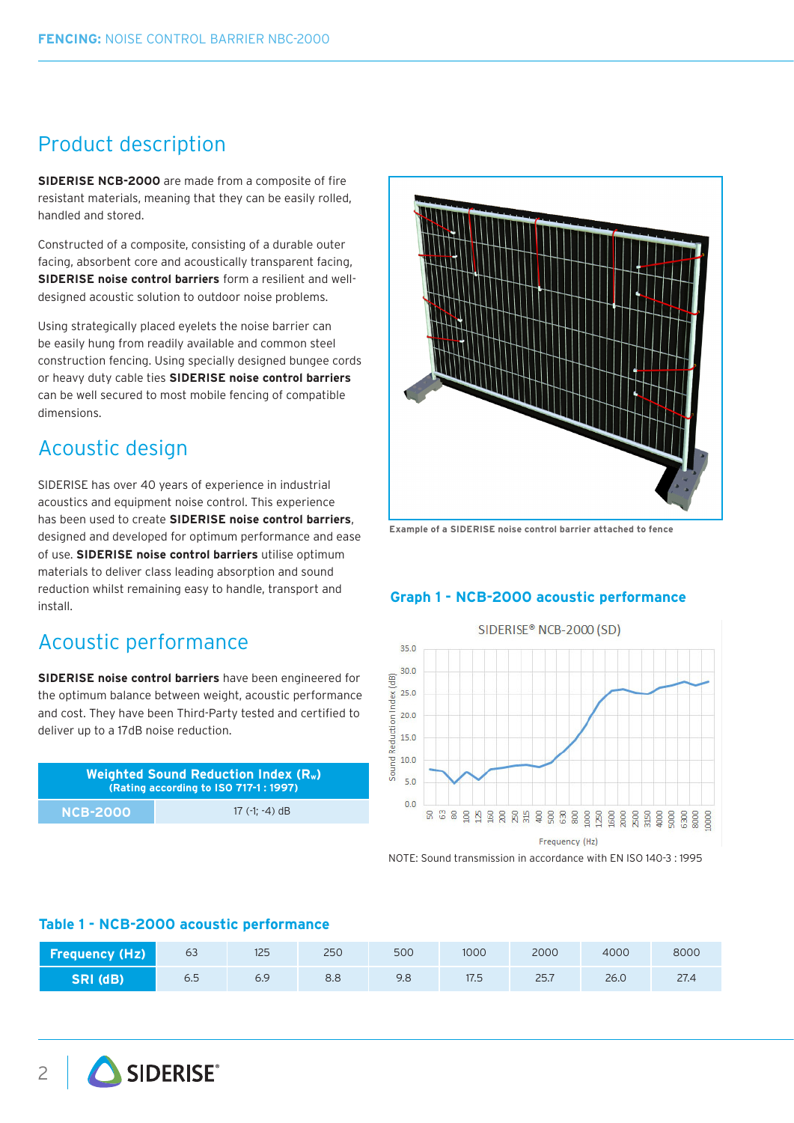### Product description

**SIDERISE NCB-2000** are made from a composite of fire resistant materials, meaning that they can be easily rolled, handled and stored.

Constructed of a composite, consisting of a durable outer facing, absorbent core and acoustically transparent facing, **SIDERISE noise control barriers** form a resilient and welldesigned acoustic solution to outdoor noise problems.

Using strategically placed eyelets the noise barrier can be easily hung from readily available and common steel construction fencing. Using specially designed bungee cords or heavy duty cable ties **SIDERISE noise control barriers** can be well secured to most mobile fencing of compatible dimensions.

### Acoustic design

SIDERISE has over 40 years of experience in industrial acoustics and equipment noise control. This experience has been used to create **SIDERISE noise control barriers**, designed and developed for optimum performance and ease of use. **SIDERISE noise control barriers** utilise optimum materials to deliver class leading absorption and sound reduction whilst remaining easy to handle, transport and install.

### Acoustic performance

**SIDERISE noise control barriers** have been engineered for the optimum balance between weight, acoustic performance and cost. They have been Third-Party tested and certified to deliver up to a 17dB noise reduction.

| Weighted Sound Reduction Index (R <sub>w</sub> )<br>(Rating according to ISO 717-1: 1997) |                  |  |
|-------------------------------------------------------------------------------------------|------------------|--|
| <b>NCB-2000</b>                                                                           | 17 $(-1; -4)$ dB |  |



**Example of a SIDERISE noise control barrier attached to fence**

#### **Graph 1 - NCB-2000 acoustic performance**



NOTE: Sound transmission in accordance with EN ISO 140-3 : 1995

#### **Table 1 - NCB-2000 acoustic performance**

| <b>Frequency (Hz)</b> | 63  | 125 | 250 | 500 | 1000 | 2000 | 4000 | 8000 |
|-----------------------|-----|-----|-----|-----|------|------|------|------|
| SRI (dB)              | 6.5 | 6.9 | 8.8 | 9.8 | 17.5 | 25.7 | 26.0 | 27.4 |

2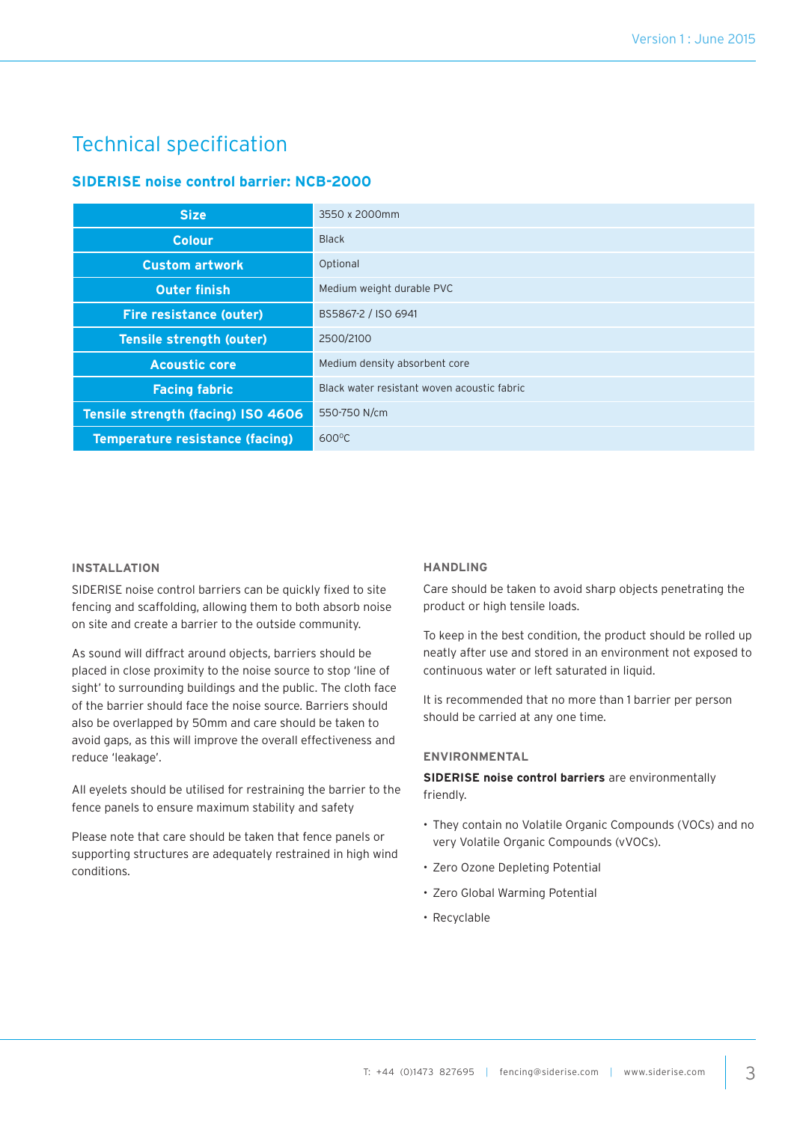### Technical specification

#### **SIDERISE noise control barrier: NCB-2000**

| <b>Size</b>                            | 3550 x 2000mm                               |
|----------------------------------------|---------------------------------------------|
| <b>Colour</b>                          | <b>Black</b>                                |
| <b>Custom artwork</b>                  | Optional                                    |
| <b>Outer finish</b>                    | Medium weight durable PVC                   |
| <b>Fire resistance (outer)</b>         | BS5867-2 / ISO 6941                         |
| <b>Tensile strength (outer)</b>        | 2500/2100                                   |
| <b>Acoustic core</b>                   | Medium density absorbent core               |
| <b>Facing fabric</b>                   | Black water resistant woven acoustic fabric |
| Tensile strength (facing) ISO 4606     | 550-750 N/cm                                |
| <b>Temperature resistance (facing)</b> | $600^{\circ}$ C                             |

#### **INSTALLATION**

SIDERISE noise control barriers can be quickly fixed to site fencing and scaffolding, allowing them to both absorb noise on site and create a barrier to the outside community.

As sound will diffract around objects, barriers should be placed in close proximity to the noise source to stop 'line of sight' to surrounding buildings and the public. The cloth face of the barrier should face the noise source. Barriers should also be overlapped by 50mm and care should be taken to avoid gaps, as this will improve the overall effectiveness and reduce 'leakage'.

All eyelets should be utilised for restraining the barrier to the fence panels to ensure maximum stability and safety

Please note that care should be taken that fence panels or supporting structures are adequately restrained in high wind conditions.

#### **HANDLING**

Care should be taken to avoid sharp objects penetrating the product or high tensile loads.

To keep in the best condition, the product should be rolled up neatly after use and stored in an environment not exposed to continuous water or left saturated in liquid.

It is recommended that no more than 1 barrier per person should be carried at any one time.

#### **ENVIRONMENTAL**

**SIDERISE noise control barriers** are environmentally friendly.

- They contain no Volatile Organic Compounds (VOCs) and no very Volatile Organic Compounds (vVOCs).
- Zero Ozone Depleting Potential
- Zero Global Warming Potential
- Recyclable